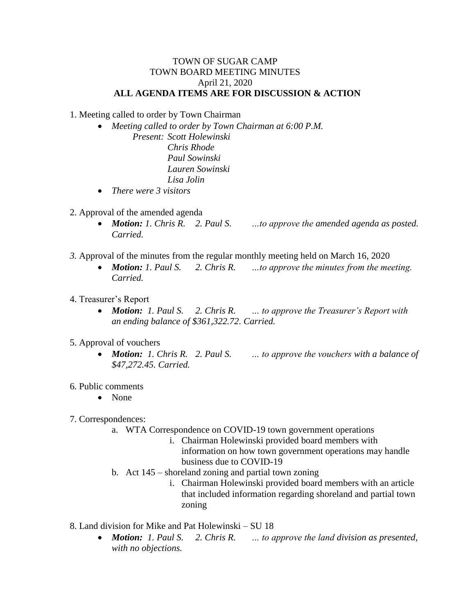## TOWN OF SUGAR CAMP TOWN BOARD MEETING MINUTES April 21, 2020 **ALL AGENDA ITEMS ARE FOR DISCUSSION & ACTION**

1. Meeting called to order by Town Chairman

 *Meeting called to order by Town Chairman at 6:00 P.M. Present: Scott Holewinski Chris Rhode Paul Sowinski*

*Lauren Sowinski Lisa Jolin*

- *There were 3 visitors*
- 2. Approval of the amended agenda
	- *Motion: 1. Chris R. 2. Paul S. …to approve the amended agenda as posted. Carried.*
- *3.* Approval of the minutes from the regular monthly meeting held on March 16, 2020
	- *Motion: 1. Paul S. 2. Chris R. …to approve the minutes from the meeting. Carried.*
- 4. Treasurer's Report
	- *Motion: 1. Paul S. 2. Chris R. … to approve the Treasurer's Report with an ending balance of \$361,322.72. Carried.*
- 5. Approval of vouchers
	- *Motion: 1. Chris R. 2. Paul S. … to approve the vouchers with a balance of \$47,272.45. Carried.*
- 6. Public comments
	- None
- 7. Correspondences:
	- a. WTA Correspondence on COVID-19 town government operations
		- i. Chairman Holewinski provided board members with information on how town government operations may handle business due to COVID-19
	- b. Act 145 shoreland zoning and partial town zoning
		- i. Chairman Holewinski provided board members with an article that included information regarding shoreland and partial town zoning
- 8. Land division for Mike and Pat Holewinski SU 18
	- *Motion: 1. Paul S. 2. Chris R. … to approve the land division as presented, with no objections.*